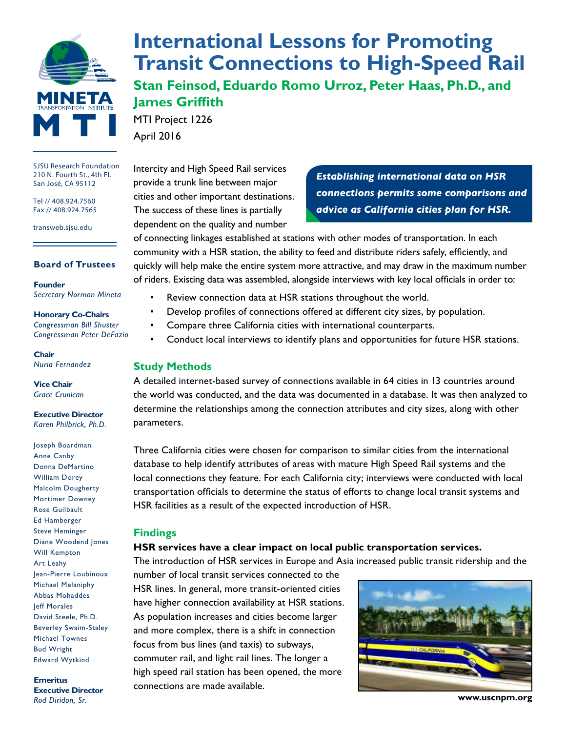

SJSU Research Foundation 210 N. Fourth St., 4th Fl. San José, CA 95112

Tel // 408.924.7560 Fax // 408.924.7565

transweb.sjsu.edu

#### **Board of Trustees**

**Founder** *Secretary Norman Mineta*

#### **Honorary Co-Chairs** *Congressman Bill Shuster*

*Congressman Peter DeFazio*

**Chair** *Nuria Fernandez*

**Vice Chair** *Grace Crunican*

**Executive Director** *Karen Philbrick, Ph.D.*

Joseph Boardman Anne Canby Donna DeMartino William Dorey Malcolm Dougherty Mortimer Downey Rose Guilbault Ed Hamberger Steve Heminger Diane Woodend Jones Will Kempton Art Leahy Jean-Pierre Loubinoux Michael Melaniphy Abbas Mohaddes Jeff Morales David Steele, Ph.D. Beverley Swaim-Staley Michael Townes Bud Wright Edward Wytkind

**Emeritus Executive Director** *Rod Diridon, Sr.*

# **[International Lessons for Promoting](http://transweb.sjsu.edu/project/1226.html)  [Transit Connections to High-Speed Rail](http://transweb.sjsu.edu/project/1226.html)**

**Stan Feinsod, Eduardo Romo Urroz, Peter Haas, Ph.D., and James Griffith**

MTI Project 1226 April 2016

Intercity and High Speed Rail services provide a trunk line between major cities and other important destinations. The success of these lines is partially dependent on the quality and number

*Establishing international data on HSR connections permits some comparisons and advice as California cities plan for HSR.*

of connecting linkages established at stations with other modes of transportation. In each community with a HSR station, the ability to feed and distribute riders safely, efficiently, and quickly will help make the entire system more attractive, and may draw in the maximum number of riders. Existing data was assembled, alongside interviews with key local officials in order to:

- Review connection data at HSR stations throughout the world.
- Develop profiles of connections offered at different city sizes, by population.
- Compare three California cities with international counterparts.
- Conduct local interviews to identify plans and opportunities for future HSR stations.

#### **Study Methods**

A detailed internet-based survey of connections available in 64 cities in 13 countries around the world was conducted, and the data was documented in a database. It was then analyzed to determine the relationships among the connection attributes and city sizes, along with other parameters.

Three California cities were chosen for comparison to similar cities from the international database to help identify attributes of areas with mature High Speed Rail systems and the local connections they feature. For each California city; interviews were conducted with local transportation officials to determine the status of efforts to change local transit systems and HSR facilities as a result of the expected introduction of HSR.

#### **Findings**

#### **HSR services have a clear impact on local public transportation services.**

The introduction of HSR services in Europe and Asia increased public transit ridership and the

number of local transit services connected to the HSR lines. In general, more transit-oriented cities have higher connection availability at HSR stations. As population increases and cities become larger and more complex, there is a shift in connection focus from bus lines (and taxis) to subways, commuter rail, and light rail lines. The longer a high speed rail station has been opened, the more connections are made available.



**www.uscnpm.org**